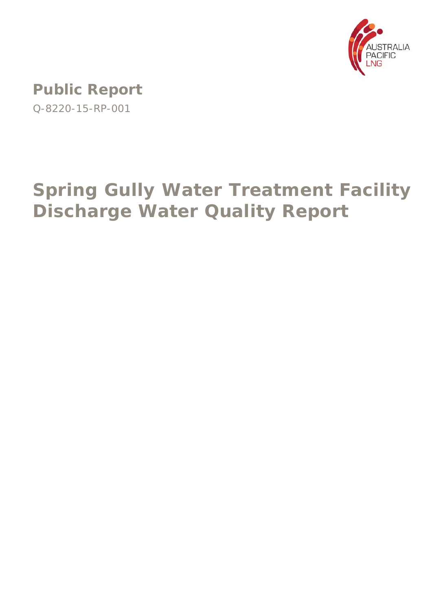

**Public Report**  Q-8220-15-RP-001

# **Spring Gully Water Treatment Facility Discharge Water Quality Report**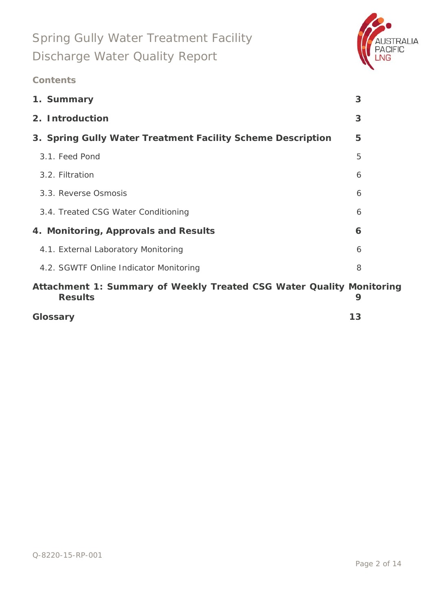

### **Contents**

| 1. Summary                                                                             | 3 |
|----------------------------------------------------------------------------------------|---|
| 2. Introduction                                                                        | 3 |
| 3. Spring Gully Water Treatment Facility Scheme Description                            | 5 |
| 3.1. Feed Pond                                                                         | 5 |
| 3.2. Filtration                                                                        | 6 |
| 3.3. Reverse Osmosis                                                                   | 6 |
| 3.4. Treated CSG Water Conditioning                                                    | 6 |
| 4. Monitoring, Approvals and Results                                                   | 6 |
| 4.1. External Laboratory Monitoring                                                    | 6 |
| 4.2. SGWTF Online Indicator Monitoring                                                 | 8 |
| Attachment 1: Summary of Weekly Treated CSG Water Quality Monitoring<br><b>Results</b> | 9 |

## **Glossary 13**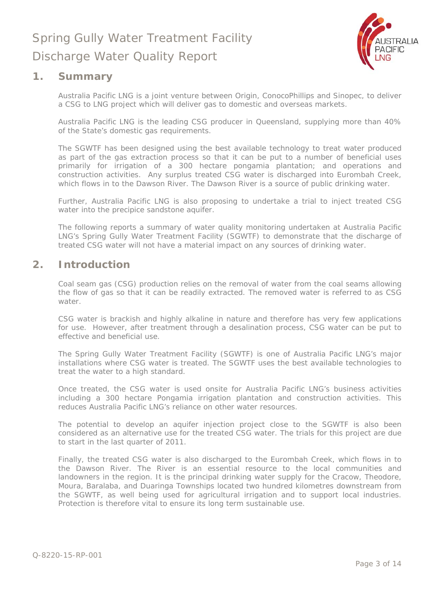

### **1. Summary**

Australia Pacific LNG is a joint venture between Origin, ConocoPhillips and Sinopec, to deliver a CSG to LNG project which will deliver gas to domestic and overseas markets.

Australia Pacific LNG is the leading CSG producer in Queensland, supplying more than 40% of the State's domestic gas requirements.

The SGWTF has been designed using the best available technology to treat water produced as part of the gas extraction process so that it can be put to a number of beneficial uses primarily for irrigation of a 300 hectare pongamia plantation; and operations and construction activities. Any surplus treated CSG water is discharged into Eurombah Creek, which flows in to the Dawson River. The Dawson River is a source of public drinking water.

Further, Australia Pacific LNG is also proposing to undertake a trial to inject treated CSG water into the precipice sandstone aquifer.

The following reports a summary of water quality monitoring undertaken at Australia Pacific LNG's Spring Gully Water Treatment Facility (SGWTF) to demonstrate that the discharge of treated CSG water will not have a material impact on any sources of drinking water.

### **2. Introduction**

Coal seam gas (CSG) production relies on the removal of water from the coal seams allowing the flow of gas so that it can be readily extracted. The removed water is referred to as CSG water.

CSG water is brackish and highly alkaline in nature and therefore has very few applications for use. However, after treatment through a desalination process, CSG water can be put to effective and beneficial use.

The Spring Gully Water Treatment Facility (SGWTF) is one of Australia Pacific LNG's major installations where CSG water is treated. The SGWTF uses the best available technologies to treat the water to a high standard.

Once treated, the CSG water is used onsite for Australia Pacific LNG's business activities including a 300 hectare Pongamia irrigation plantation and construction activities. This reduces Australia Pacific LNG's reliance on other water resources.

The potential to develop an aquifer injection project close to the SGWTF is also been considered as an alternative use for the treated CSG water. The trials for this project are due to start in the last quarter of 2011.

Finally, the treated CSG water is also discharged to the Eurombah Creek, which flows in to the Dawson River. The River is an essential resource to the local communities and landowners in the region. It is the principal drinking water supply for the Cracow, Theodore, Moura, Baralaba, and Duaringa Townships located two hundred kilometres downstream from the SGWTF, as well being used for agricultural irrigation and to support local industries. Protection is therefore vital to ensure its long term sustainable use.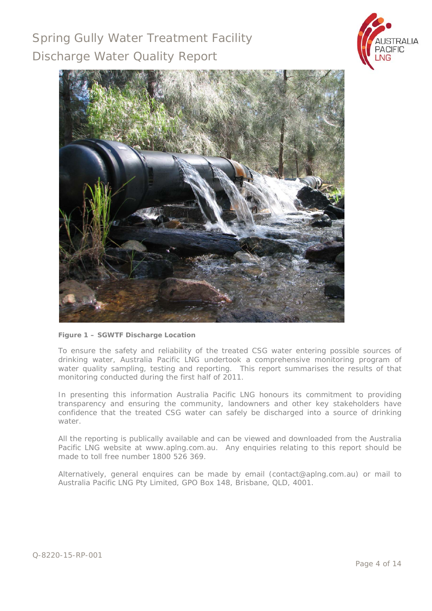



#### **Figure 1 – SGWTF Discharge Location**

To ensure the safety and reliability of the treated CSG water entering possible sources of drinking water, Australia Pacific LNG undertook a comprehensive monitoring program of water quality sampling, testing and reporting. This report summarises the results of that monitoring conducted during the first half of 2011.

In presenting this information Australia Pacific LNG honours its commitment to providing transparency and ensuring the community, landowners and other key stakeholders have confidence that the treated CSG water can safely be discharged into a source of drinking water.

All the reporting is publically available and can be viewed and downloaded from the Australia Pacific LNG website at www.aplng.com.au. Any enquiries relating to this report should be made to toll free number 1800 526 369.

Alternatively, general enquires can be made by email (contact@aplng.com.au) or mail to Australia Pacific LNG Pty Limited, GPO Box 148, Brisbane, QLD, 4001.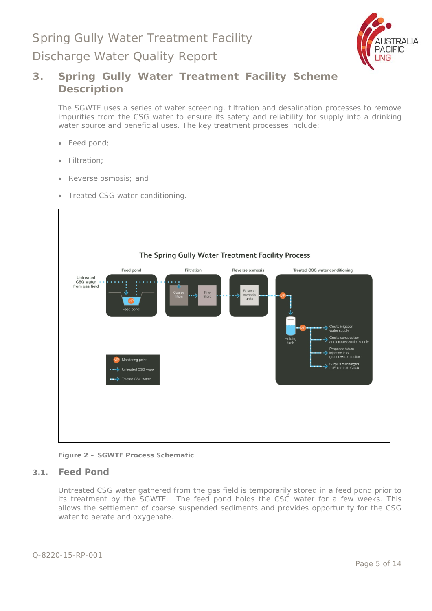

### **3. Spring Gully Water Treatment Facility Scheme Description**

The SGWTF uses a series of water screening, filtration and desalination processes to remove impurities from the CSG water to ensure its safety and reliability for supply into a drinking water source and beneficial uses. The key treatment processes include:

- Feed pond;
- Filtration;
- Reverse osmosis; and
- Treated CSG water conditioning.



**Figure 2 – SGWTF Process Schematic** 

#### **3.1. Feed Pond**

Untreated CSG water gathered from the gas field is temporarily stored in a feed pond prior to its treatment by the SGWTF. The feed pond holds the CSG water for a few weeks. This allows the settlement of coarse suspended sediments and provides opportunity for the CSG water to aerate and oxygenate.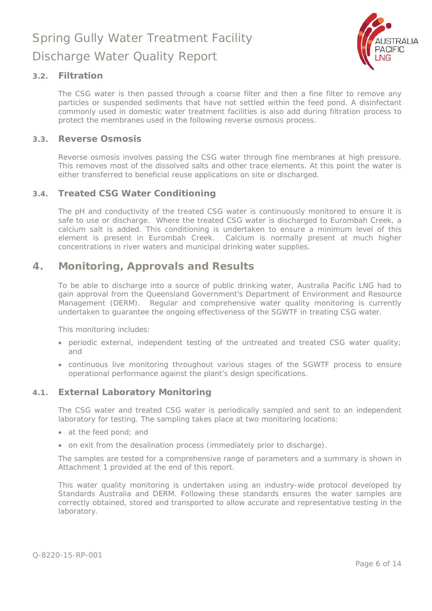

#### **3.2. Filtration**

The CSG water is then passed through a coarse filter and then a fine filter to remove any particles or suspended sediments that have not settled within the feed pond. A disinfectant commonly used in domestic water treatment facilities is also add during filtration process to protect the membranes used in the following reverse osmosis process.

#### **3.3. Reverse Osmosis**

Reverse osmosis involves passing the CSG water through fine membranes at high pressure. This removes most of the dissolved salts and other trace elements. At this point the water is either transferred to beneficial reuse applications on site or discharged.

#### **3.4. Treated CSG Water Conditioning**

The pH and conductivity of the treated CSG water is continuously monitored to ensure it is safe to use or discharge. Where the treated CSG water is discharged to Eurombah Creek, a calcium salt is added. This conditioning is undertaken to ensure a minimum level of this element is present in Eurombah Creek. Calcium is normally present at much higher concentrations in river waters and municipal drinking water supplies.

### **4. Monitoring, Approvals and Results**

To be able to discharge into a source of public drinking water, Australia Pacific LNG had to gain approval from the Queensland Government's Department of Environment and Resource Management (DERM). Regular and comprehensive water quality monitoring is currently undertaken to guarantee the ongoing effectiveness of the SGWTF in treating CSG water.

This monitoring includes:

- periodic external, independent testing of the untreated and treated CSG water quality; and
- continuous live monitoring throughout various stages of the SGWTF process to ensure operational performance against the plant's design specifications.

#### **4.1. External Laboratory Monitoring**

The CSG water and treated CSG water is periodically sampled and sent to an independent laboratory for testing. The sampling takes place at two monitoring locations:

- at the feed pond; and
- on exit from the desalination process (immediately prior to discharge).

The samples are tested for a comprehensive range of parameters and a summary is shown in Attachment 1 provided at the end of this report.

This water quality monitoring is undertaken using an industry-wide protocol developed by Standards Australia and DERM. Following these standards ensures the water samples are correctly obtained, stored and transported to allow accurate and representative testing in the laboratory.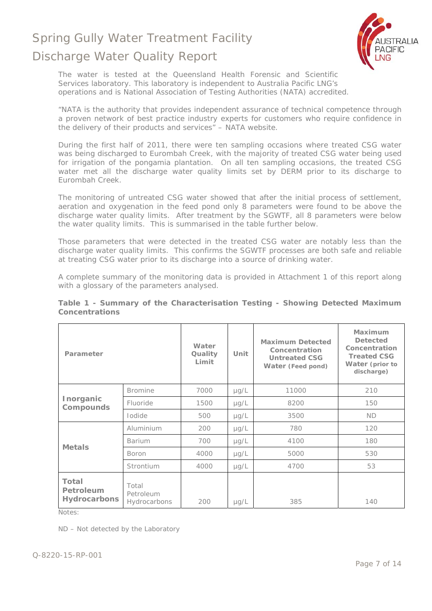

The water is tested at the Queensland Health Forensic and Scientific Services laboratory. This laboratory is independent to Australia Pacific LNG's operations and is National Association of Testing Authorities (NATA) accredited.

*"NATA is the authority that provides independent assurance of technical competence through a proven network of best practice industry experts for customers who require confidence in the delivery of their products and services"* – NATA website.

During the first half of 2011, there were ten sampling occasions where treated CSG water was being discharged to Eurombah Creek, with the majority of treated CSG water being used for irrigation of the pongamia plantation. On all ten sampling occasions, the treated CSG water met all the discharge water quality limits set by DERM prior to its discharge to Eurombah Creek.

The monitoring of untreated CSG water showed that after the initial process of settlement, aeration and oxygenation in the feed pond only 8 parameters were found to be above the discharge water quality limits. After treatment by the SGWTF, all 8 parameters were below the water quality limits. This is summarised in the table further below.

Those parameters that were detected in the treated CSG water are notably less than the discharge water quality limits. This confirms the SGWTF processes are both safe and reliable at treating CSG water prior to its discharge into a source of drinking water.

A complete summary of the monitoring data is provided in Attachment 1 of this report along with a glossary of the parameters analysed.

| Parameter                                        |                                    | Water<br>Quality<br>Limit | Unit      | <b>Maximum Detected</b><br>Concentration<br><b>Untreated CSG</b><br>Water (Feed pond) | Maximum<br><b>Detected</b><br>Concentration<br><b>Treated CSG</b><br>Water (prior to<br>discharge) |
|--------------------------------------------------|------------------------------------|---------------------------|-----------|---------------------------------------------------------------------------------------|----------------------------------------------------------------------------------------------------|
| Inorganic<br>Compounds                           | <b>Bromine</b>                     | 7000                      | $\mu$ g/L | 11000                                                                                 | 210                                                                                                |
|                                                  | Fluoride                           | 1500                      | $\mu$ g/L | 8200                                                                                  | 150                                                                                                |
|                                                  | <b>lodide</b>                      | 500                       | $\mu$ g/L | 3500                                                                                  | <b>ND</b>                                                                                          |
| <b>Metals</b>                                    | Aluminium                          | 200                       | $\mu$ g/L | 780                                                                                   | 120                                                                                                |
|                                                  | <b>Barium</b>                      | 700                       | $\mu$ g/L | 4100                                                                                  | 180                                                                                                |
|                                                  | <b>Boron</b>                       | 4000                      | $\mu$ g/L | 5000                                                                                  | 530                                                                                                |
|                                                  | Strontium                          | 4000                      | $\mu$ g/L | 4700                                                                                  | 53                                                                                                 |
| Total<br><b>Petroleum</b><br><b>Hydrocarbons</b> | Total<br>Petroleum<br>Hydrocarbons | 200                       | $\mu$ g/L | 385                                                                                   | 140                                                                                                |

#### **Table 1 - Summary of the Characterisation Testing - Showing Detected Maximum Concentrations**

Notes:

ND – Not detected by the Laboratory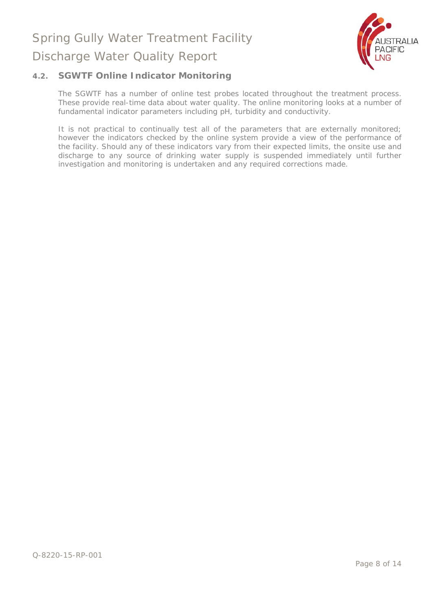

#### **4.2. SGWTF Online Indicator Monitoring**

The SGWTF has a number of online test probes located throughout the treatment process. These provide real-time data about water quality. The online monitoring looks at a number of fundamental indicator parameters including pH, turbidity and conductivity.

It is not practical to continually test all of the parameters that are externally monitored; however the indicators checked by the online system provide a view of the performance of the facility. Should any of these indicators vary from their expected limits, the onsite use and discharge to any source of drinking water supply is suspended immediately until further investigation and monitoring is undertaken and any required corrections made.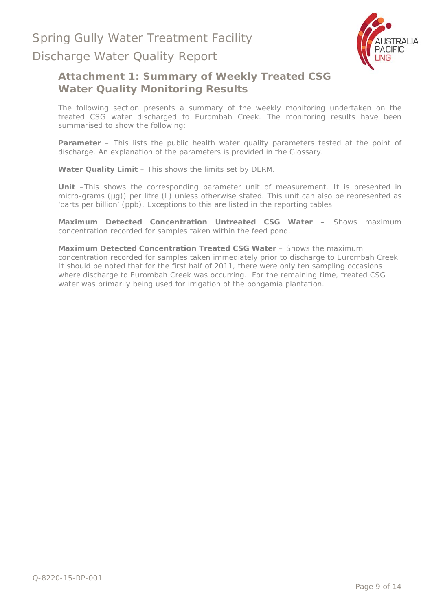

### Discharge Water Quality Report

### **Attachment 1: Summary of Weekly Treated CSG Water Quality Monitoring Results**

The following section presents a summary of the weekly monitoring undertaken on the treated CSG water discharged to Eurombah Creek. The monitoring results have been summarised to show the following:

**Parameter** – This lists the public health water quality parameters tested at the point of discharge. An explanation of the parameters is provided in the Glossary.

**Water Quality Limit** – This shows the limits set by DERM.

**Unit** –This shows the corresponding parameter unit of measurement. It is presented in micro-grams (µg)) per litre (L) unless otherwise stated. This unit can also be represented as 'parts per billion' (ppb). Exceptions to this are listed in the reporting tables.

**Maximum Detected Concentration Untreated CSG Water –** Shows maximum concentration recorded for samples taken within the feed pond.

**Maximum Detected Concentration Treated CSG Water** – Shows the maximum concentration recorded for samples taken immediately prior to discharge to Eurombah Creek. It should be noted that for the first half of 2011, there were only ten sampling occasions where discharge to Eurombah Creek was occurring. For the remaining time, treated CSG water was primarily being used for irrigation of the pongamia plantation.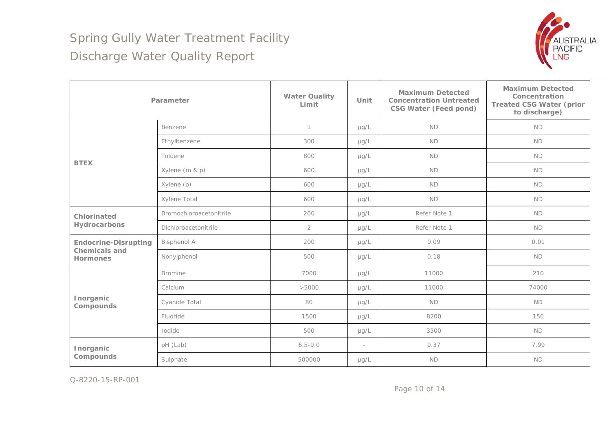

|                                                                        | Parameter               | <b>Water Quality</b><br>Limit | Unit      | <b>Maximum Detected</b><br><b>Concentration Untreated</b><br><b>CSG Water (Feed pond)</b> | <b>Maximum Detected</b><br>Concentration<br><b>Treated CSG Water (prior</b><br>to discharge) |
|------------------------------------------------------------------------|-------------------------|-------------------------------|-----------|-------------------------------------------------------------------------------------------|----------------------------------------------------------------------------------------------|
|                                                                        | Benzene                 | $\mathbf{1}$                  | $\mu$ g/L | <b>ND</b>                                                                                 | ND                                                                                           |
|                                                                        | Ethylbenzene            | 300                           | $\mu$ g/L | <b>ND</b>                                                                                 | <b>ND</b>                                                                                    |
| <b>BTEX</b>                                                            | Toluene                 | 800                           | $\mu$ g/L | <b>ND</b>                                                                                 | <b>ND</b>                                                                                    |
|                                                                        | Xylene (m & p)          | 600                           | $\mu$ g/L | <b>ND</b>                                                                                 | <b>ND</b>                                                                                    |
|                                                                        | Xylene (o)              | 600                           | $\mu$ g/L | <b>ND</b>                                                                                 | <b>ND</b>                                                                                    |
|                                                                        | Xylene Total            | 600                           | $\mu$ g/L | <b>ND</b>                                                                                 | <b>ND</b>                                                                                    |
| Chlorinated<br>Hydrocarbons                                            | Bromochloroacetonitrile | 200                           | $\mu$ g/L | Refer Note 1                                                                              | <b>ND</b>                                                                                    |
|                                                                        | Dichloroacetonitrile    | $\overline{2}$                | $\mu$ g/L | Refer Note 1                                                                              | <b>ND</b>                                                                                    |
| <b>Endocrine-Disrupting</b><br><b>Chemicals and</b><br><b>Hormones</b> | <b>Bisphenol A</b>      | 200                           | $\mu$ g/L | 0.09                                                                                      | 0.01                                                                                         |
|                                                                        | Nonylphenol             | 500                           | $\mu$ g/L | 0.18                                                                                      | <b>ND</b>                                                                                    |
| Inorganic<br>Compounds                                                 | <b>Bromine</b>          | 7000                          | $\mu$ g/L | 11000                                                                                     | 210                                                                                          |
|                                                                        | Calcium                 | >5000                         | $\mu$ g/L | 11000                                                                                     | 74000                                                                                        |
|                                                                        | Cyanide Total           | 80                            | $\mu$ g/L | <b>ND</b>                                                                                 | <b>ND</b>                                                                                    |
|                                                                        | Fluoride                | 1500                          | $\mu$ g/L | 8200                                                                                      | 150                                                                                          |
|                                                                        | Iodide                  | 500                           | µg/L      | 3500                                                                                      | <b>ND</b>                                                                                    |
| Inorganic<br>Compounds                                                 | pH (Lab)                | $6.5 - 9.0$                   | ÷         | 9.37                                                                                      | 7.99                                                                                         |
|                                                                        | Sulphate                | 500000                        | $\mu$ g/L | <b>ND</b>                                                                                 | <b>ND</b>                                                                                    |

Q-8220-15-RP-001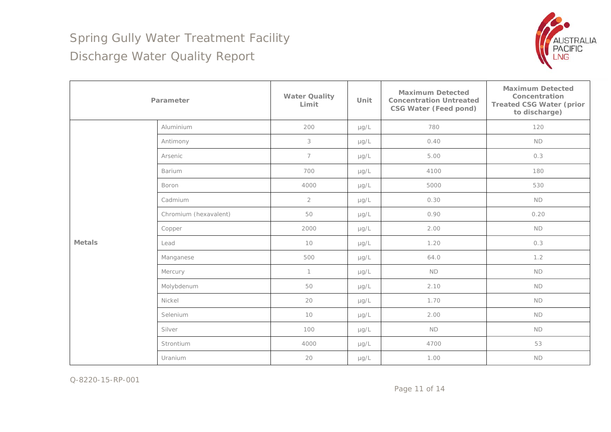

| Parameter     |                       | <b>Water Quality</b><br>Limit | Unit      | <b>Maximum Detected</b><br><b>Concentration Untreated</b><br><b>CSG Water (Feed pond)</b> | <b>Maximum Detected</b><br>Concentration<br><b>Treated CSG Water (prior</b><br>to discharge) |
|---------------|-----------------------|-------------------------------|-----------|-------------------------------------------------------------------------------------------|----------------------------------------------------------------------------------------------|
|               | Aluminium             | 200                           | $\mu$ g/L | 780                                                                                       | 120                                                                                          |
|               | Antimony              | $\mathfrak{Z}$                | $\mu$ g/L | 0.40                                                                                      | ND                                                                                           |
|               | Arsenic               | $\overline{7}$                | $\mu$ g/L | 5.00                                                                                      | 0.3                                                                                          |
|               | Barium                | 700                           | $\mu$ g/L | 4100                                                                                      | 180                                                                                          |
| <b>Metals</b> | Boron                 | 4000                          | $\mu$ g/L | 5000                                                                                      | 530                                                                                          |
|               | Cadmium               | $\overline{2}$                | $\mu$ g/L | 0.30                                                                                      | <b>ND</b>                                                                                    |
|               | Chromium (hexavalent) | 50                            | $\mu$ g/L | 0.90                                                                                      | 0.20                                                                                         |
|               | Copper                | 2000                          | $\mu$ g/L | 2.00                                                                                      | <b>ND</b>                                                                                    |
|               | Lead                  | 10                            | $\mu$ g/L | 1.20                                                                                      | 0.3                                                                                          |
|               | Manganese             | 500                           | $\mu$ g/L | 64.0                                                                                      | 1.2                                                                                          |
|               | Mercury               | $\mathbf{1}$                  | $\mu$ g/L | <b>ND</b>                                                                                 | <b>ND</b>                                                                                    |
|               | Molybdenum            | 50                            | $\mu$ g/L | 2.10                                                                                      | ND                                                                                           |
|               | Nickel                | 20                            | $\mu$ g/L | 1.70                                                                                      | <b>ND</b>                                                                                    |
|               | Selenium              | 10                            | $\mu$ g/L | 2.00                                                                                      | <b>ND</b>                                                                                    |
|               | Silver                | 100                           | $\mu$ g/L | <b>ND</b>                                                                                 | <b>ND</b>                                                                                    |
|               | Strontium             | 4000                          | $\mu$ g/L | 4700                                                                                      | 53                                                                                           |
|               | Uranium               | 20                            | $\mu$ g/L | 1.00                                                                                      | ND                                                                                           |

Q-8220-15-RP-001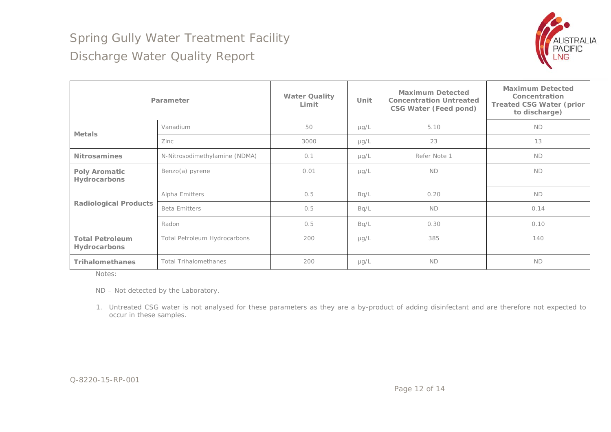

|                                               | Parameter                     | <b>Water Quality</b><br>Limit | Unit      | <b>Maximum Detected</b><br><b>Concentration Untreated</b><br><b>CSG Water (Feed pond)</b> | <b>Maximum Detected</b><br>Concentration<br><b>Treated CSG Water (prior</b><br>to discharge) |
|-----------------------------------------------|-------------------------------|-------------------------------|-----------|-------------------------------------------------------------------------------------------|----------------------------------------------------------------------------------------------|
| <b>Metals</b>                                 | Vanadium                      | 50                            | $\mu$ g/L | 5.10                                                                                      | <b>ND</b>                                                                                    |
|                                               | Zinc                          | 3000                          | $\mu$ g/L | 23                                                                                        | 13                                                                                           |
| <b>Nitrosamines</b>                           | N-Nitrosodimethylamine (NDMA) | 0.1                           | $\mu$ g/L | Refer Note 1                                                                              | <b>ND</b>                                                                                    |
| <b>Poly Aromatic</b><br>Hydrocarbons          | Benzo(a) pyrene               | 0.01                          | $\mu$ g/L | <b>ND</b>                                                                                 | <b>ND</b>                                                                                    |
| <b>Radiological Products</b>                  | Alpha Emitters                | 0.5                           | Bq/L      | 0.20                                                                                      | <b>ND</b>                                                                                    |
|                                               | <b>Beta Emitters</b>          | 0.5                           | Bq/L      | <b>ND</b>                                                                                 | 0.14                                                                                         |
|                                               | Radon                         | 0.5                           | Bq/L      | 0.30                                                                                      | 0.10                                                                                         |
| <b>Total Petroleum</b><br><b>Hydrocarbons</b> | Total Petroleum Hydrocarbons  | 200                           | $\mu$ g/L | 385                                                                                       | 140                                                                                          |
| <b>Trihalomethanes</b>                        | <b>Total Trihalomethanes</b>  | 200                           | $\mu$ g/L | <b>ND</b>                                                                                 | <b>ND</b>                                                                                    |

Notes:

ND – Not detected by the Laboratory.

1. Untreated CSG water is not analysed for these parameters as they are a by-product of adding disinfectant and are therefore not expected to occur in these samples.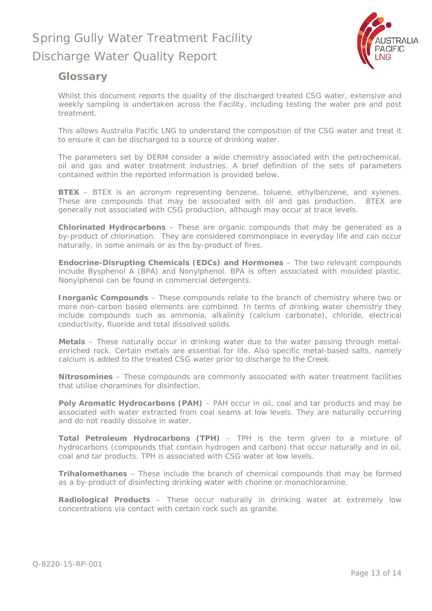

### **Glossary**

Whilst this document reports the quality of the discharged treated CSG water, extensive and weekly sampling is undertaken across the Facility, including testing the water pre and post treatment.

This allows Australia Pacific LNG to understand the composition of the CSG water and treat it to ensure it can be discharged to a source of drinking water.

The parameters set by DERM consider a wide chemistry associated with the petrochemical, oil and gas and water treatment industries. A brief definition of the sets of parameters contained within the reported information is provided below.

**BTEX** – BTEX is an acronym representing benzene, toluene, ethylbenzene, and xylenes. These are compounds that may be associated with oil and gas production. BTEX are generally not associated with CSG production, although may occur at trace levels.

**Chlorinated Hydrocarbons** – These are organic compounds that may be generated as a by-product of chlorination. They are considered commonplace in everyday life and can occur naturally, in some animals or as the by-product of fires.

**Endocrine-Disrupting Chemicals (EDCs) and Hormones** – The two relevant compounds include Bysphenol A (BPA) and Nonylphenol. BPA is often associated with moulded plastic. Nonylphenol can be found in commercial detergents.

**Inorganic Compounds** – These compounds relate to the branch of chemistry where two or more non-carbon based elements are combined. In terms of drinking water chemistry they include compounds such as ammonia, alkalinity (calcium carbonate), chloride, electrical conductivity, fluoride and total dissolved solids.

**Metals** – These naturally occur in drinking water due to the water passing through metalenriched rock. Certain metals are essential for life. Also specific metal-based salts, namely calcium is added to the treated CSG water prior to discharge to the Creek.

**Nitrosomines** – These compounds are commonly associated with water treatment facilities that utilise choramines for disinfection.

**Poly Aromatic Hydrocarbons (PAH)** – PAH occur in oil, coal and tar products and may be associated with water extracted from coal seams at low levels. They are naturally occurring and do not readily dissolve in water.

**Total Petroleum Hydrocarbons (TPH)** – TPH is the term given to a mixture of hydrocarbons (compounds that contain hydrogen and carbon) that occur naturally and in oil, coal and tar products. TPH is associated with CSG water at low levels.

**Trihalomethanes** – These include the branch of chemical compounds that may be formed as a by-product of disinfecting drinking water with chorine or monochloramine.

**Radiological Products** – These occur naturally in drinking water at extremely low concentrations via contact with certain rock such as granite.